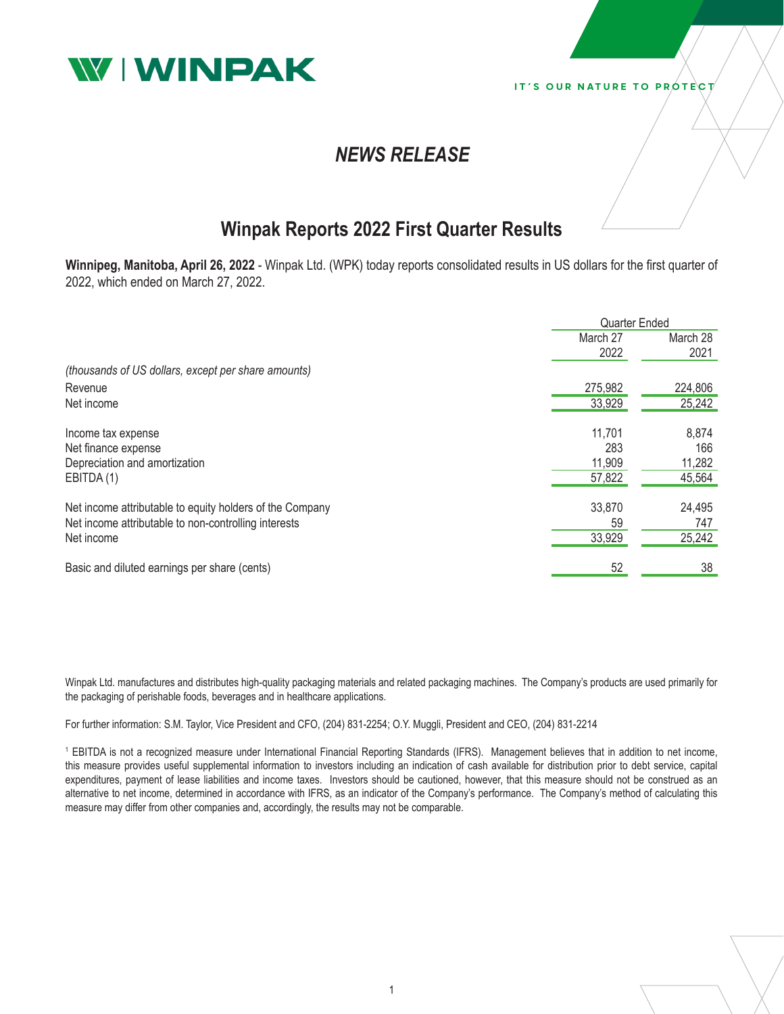

# *NEWS RELEASE*

# **Winpak Reports 2022 First Quarter Results**

**Winnipeg, Manitoba, April 26, 2022** - Winpak Ltd. (WPK) today reports consolidated results in US dollars for the first quarter of 2022, which ended on March 27, 2022.

|                                                                                                                                | Quarter Ended                     |                                  |  |
|--------------------------------------------------------------------------------------------------------------------------------|-----------------------------------|----------------------------------|--|
|                                                                                                                                | March 27<br>2022                  | March 28<br>2021                 |  |
| (thousands of US dollars, except per share amounts)                                                                            |                                   |                                  |  |
| Revenue                                                                                                                        | 275,982                           | 224,806                          |  |
| Net income                                                                                                                     | 33,929                            | 25,242                           |  |
| Income tax expense<br>Net finance expense<br>Depreciation and amortization<br>EBITDA(1)                                        | 11,701<br>283<br>11,909<br>57,822 | 8,874<br>166<br>11,282<br>45,564 |  |
| Net income attributable to equity holders of the Company<br>Net income attributable to non-controlling interests<br>Net income | 33,870<br>59<br>33,929            | 24,495<br>747<br>25,242          |  |
| Basic and diluted earnings per share (cents)                                                                                   | 52                                | 38                               |  |

Winpak Ltd. manufactures and distributes high-quality packaging materials and related packaging machines. The Company's products are used primarily for the packaging of perishable foods, beverages and in healthcare applications.

For further information: S.M. Taylor, Vice President and CFO, (204) 831-2254; O.Y. Muggli, President and CEO, (204) 831-2214

1 EBITDA is not a recognized measure under International Financial Reporting Standards (IFRS). Management believes that in addition to net income, this measure provides useful supplemental information to investors including an indication of cash available for distribution prior to debt service, capital expenditures, payment of lease liabilities and income taxes. Investors should be cautioned, however, that this measure should not be construed as an alternative to net income, determined in accordance with IFRS, as an indicator of the Company's performance. The Company's method of calculating this measure may differ from other companies and, accordingly, the results may not be comparable.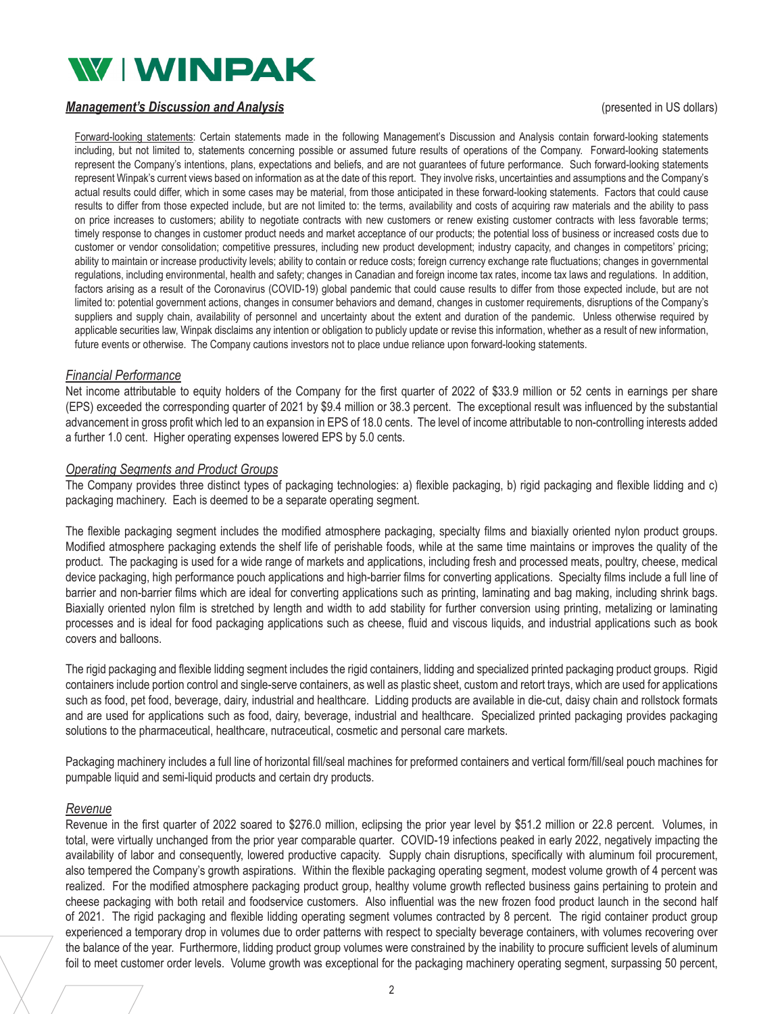

# **Management's Discussion and Analysis Contract in US dollars** (presented in US dollars)

Forward-looking statements: Certain statements made in the following Management's Discussion and Analysis contain forward-looking statements including, but not limited to, statements concerning possible or assumed future results of operations of the Company. Forward-looking statements represent the Company's intentions, plans, expectations and beliefs, and are not guarantees of future performance. Such forward-looking statements represent Winpak's current views based on information as at the date of this report. They involve risks, uncertainties and assumptions and the Company's actual results could differ, which in some cases may be material, from those anticipated in these forward-looking statements. Factors that could cause results to differ from those expected include, but are not limited to: the terms, availability and costs of acquiring raw materials and the ability to pass on price increases to customers; ability to negotiate contracts with new customers or renew existing customer contracts with less favorable terms; timely response to changes in customer product needs and market acceptance of our products; the potential loss of business or increased costs due to customer or vendor consolidation; competitive pressures, including new product development; industry capacity, and changes in competitors' pricing; ability to maintain or increase productivity levels; ability to contain or reduce costs; foreign currency exchange rate fluctuations; changes in governmental regulations, including environmental, health and safety; changes in Canadian and foreign income tax rates, income tax laws and regulations. In addition, factors arising as a result of the Coronavirus (COVID-19) global pandemic that could cause results to differ from those expected include, but are not limited to: potential government actions, changes in consumer behaviors and demand, changes in customer requirements, disruptions of the Company's suppliers and supply chain, availability of personnel and uncertainty about the extent and duration of the pandemic. Unless otherwise required by applicable securities law, Winpak disclaims any intention or obligation to publicly update or revise this information, whether as a result of new information, future events or otherwise. The Company cautions investors not to place undue reliance upon forward-looking statements.

### *Financial Performance*

Net income attributable to equity holders of the Company for the first quarter of 2022 of \$33.9 million or 52 cents in earnings per share (EPS) exceeded the corresponding quarter of 2021 by \$9.4 million or 38.3 percent. The exceptional result was influenced by the substantial advancement in gross profit which led to an expansion in EPS of 18.0 cents. The level of income attributable to non-controlling interests added a further 1.0 cent. Higher operating expenses lowered EPS by 5.0 cents.

### *Operating Segments and Product Groups*

The Company provides three distinct types of packaging technologies: a) flexible packaging, b) rigid packaging and flexible lidding and c) packaging machinery. Each is deemed to be a separate operating segment.

The flexible packaging segment includes the modified atmosphere packaging, specialty films and biaxially oriented nylon product groups. Modified atmosphere packaging extends the shelf life of perishable foods, while at the same time maintains or improves the quality of the product. The packaging is used for a wide range of markets and applications, including fresh and processed meats, poultry, cheese, medical device packaging, high performance pouch applications and high-barrier films for converting applications. Specialty films include a full line of barrier and non-barrier films which are ideal for converting applications such as printing, laminating and bag making, including shrink bags. Biaxially oriented nylon film is stretched by length and width to add stability for further conversion using printing, metalizing or laminating processes and is ideal for food packaging applications such as cheese, fluid and viscous liquids, and industrial applications such as book covers and balloons.

The rigid packaging and flexible lidding segment includes the rigid containers, lidding and specialized printed packaging product groups. Rigid containers include portion control and single-serve containers, as well as plastic sheet, custom and retort trays, which are used for applications such as food, pet food, beverage, dairy, industrial and healthcare. Lidding products are available in die-cut, daisy chain and rollstock formats and are used for applications such as food, dairy, beverage, industrial and healthcare. Specialized printed packaging provides packaging solutions to the pharmaceutical, healthcare, nutraceutical, cosmetic and personal care markets.

Packaging machinery includes a full line of horizontal fill/seal machines for preformed containers and vertical form/fill/seal pouch machines for pumpable liquid and semi-liquid products and certain dry products.

### *Revenue*

Revenue in the first quarter of 2022 soared to \$276.0 million, eclipsing the prior year level by \$51.2 million or 22.8 percent. Volumes, in total, were virtually unchanged from the prior year comparable quarter. COVID-19 infections peaked in early 2022, negatively impacting the availability of labor and consequently, lowered productive capacity. Supply chain disruptions, specifically with aluminum foil procurement, also tempered the Company's growth aspirations. Within the flexible packaging operating segment, modest volume growth of 4 percent was realized. For the modified atmosphere packaging product group, healthy volume growth reflected business gains pertaining to protein and cheese packaging with both retail and foodservice customers. Also influential was the new frozen food product launch in the second half of 2021. The rigid packaging and flexible lidding operating segment volumes contracted by 8 percent. The rigid container product group experienced a temporary drop in volumes due to order patterns with respect to specialty beverage containers, with volumes recovering over the balance of the year. Furthermore, lidding product group volumes were constrained by the inability to procure sufficient levels of aluminum foil to meet customer order levels. Volume growth was exceptional for the packaging machinery operating segment, surpassing 50 percent,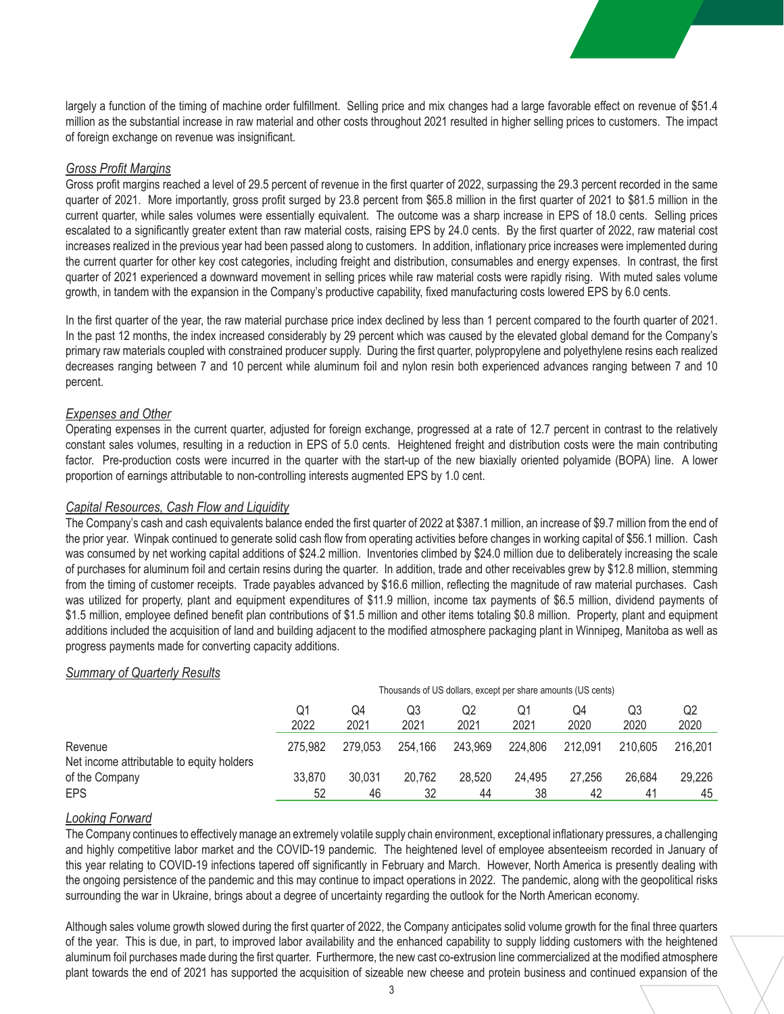largely a function of the timing of machine order fulfillment. Selling price and mix changes had a large favorable effect on revenue of \$51.4 million as the substantial increase in raw material and other costs throughout 2021 resulted in higher selling prices to customers. The impact of foreign exchange on revenue was insignificant.

# *Gross Profit Margins*

Gross profit margins reached a level of 29.5 percent of revenue in the first quarter of 2022, surpassing the 29.3 percent recorded in the same quarter of 2021. More importantly, gross profit surged by 23.8 percent from \$65.8 million in the first quarter of 2021 to \$81.5 million in the current quarter, while sales volumes were essentially equivalent. The outcome was a sharp increase in EPS of 18.0 cents. Selling prices escalated to a significantly greater extent than raw material costs, raising EPS by 24.0 cents. By the first quarter of 2022, raw material cost increases realized in the previous year had been passed along to customers. In addition, inflationary price increases were implemented during the current quarter for other key cost categories, including freight and distribution, consumables and energy expenses. In contrast, the first quarter of 2021 experienced a downward movement in selling prices while raw material costs were rapidly rising. With muted sales volume growth, in tandem with the expansion in the Company's productive capability, fixed manufacturing costs lowered EPS by 6.0 cents.

In the first quarter of the year, the raw material purchase price index declined by less than 1 percent compared to the fourth quarter of 2021. In the past 12 months, the index increased considerably by 29 percent which was caused by the elevated global demand for the Company's primary raw materials coupled with constrained producer supply. During the first quarter, polypropylene and polyethylene resins each realized decreases ranging between 7 and 10 percent while aluminum foil and nylon resin both experienced advances ranging between 7 and 10 percent.

# *Expenses and Other*

Operating expenses in the current quarter, adjusted for foreign exchange, progressed at a rate of 12.7 percent in contrast to the relatively constant sales volumes, resulting in a reduction in EPS of 5.0 cents. Heightened freight and distribution costs were the main contributing factor. Pre-production costs were incurred in the quarter with the start-up of the new biaxially oriented polyamide (BOPA) line. A lower proportion of earnings attributable to non-controlling interests augmented EPS by 1.0 cent.

### *Capital Resources, Cash Flow and Liquidity*

The Company's cash and cash equivalents balance ended the first quarter of 2022 at \$387.1 million, an increase of \$9.7 million from the end of the prior year. Winpak continued to generate solid cash flow from operating activities before changes in working capital of \$56.1 million. Cash was consumed by net working capital additions of \$24.2 million. Inventories climbed by \$24.0 million due to deliberately increasing the scale of purchases for aluminum foil and certain resins during the quarter. In addition, trade and other receivables grew by \$12.8 million, stemming from the timing of customer receipts. Trade payables advanced by \$16.6 million, reflecting the magnitude of raw material purchases. Cash was utilized for property, plant and equipment expenditures of \$11.9 million, income tax payments of \$6.5 million, dividend payments of \$1.5 million, employee defined benefit plan contributions of \$1.5 million and other items totaling \$0.8 million. Property, plant and equipment additions included the acquisition of land and building adjacent to the modified atmosphere packaging plant in Winnipeg, Manitoba as well as progress payments made for converting capacity additions.

# *Summary of Quarterly Results*

|                                           | Thousands of US dollars, except per share amounts (US cents) |         |         |         |         |         |         |         |
|-------------------------------------------|--------------------------------------------------------------|---------|---------|---------|---------|---------|---------|---------|
|                                           | Q1                                                           | Q4      | Q3      | Q2      | Q1      | Q4      | Q3      | Q2      |
|                                           | 2022                                                         | 2021    | 2021    | 2021    | 2021    | 2020    | 2020    | 2020    |
| Revenue                                   | 275.982                                                      | 279.053 | 254.166 | 243,969 | 224,806 | 212.091 | 210.605 | 216,201 |
| Net income attributable to equity holders |                                                              |         |         |         |         |         |         |         |
| of the Company                            | 33,870                                                       | 30,031  | 20,762  | 28,520  | 24.495  | 27,256  | 26.684  | 29,226  |
| <b>EPS</b>                                | 52                                                           | 46      | 32      | 44      | 38      | 42      | 41      | 45      |

# *Looking Forward*

The Company continues to effectively manage an extremely volatile supply chain environment, exceptional inflationary pressures, a challenging and highly competitive labor market and the COVID-19 pandemic. The heightened level of employee absenteeism recorded in January of this year relating to COVID-19 infections tapered off significantly in February and March. However, North America is presently dealing with the ongoing persistence of the pandemic and this may continue to impact operations in 2022. The pandemic, along with the geopolitical risks surrounding the war in Ukraine, brings about a degree of uncertainty regarding the outlook for the North American economy.

Although sales volume growth slowed during the first quarter of 2022, the Company anticipates solid volume growth for the final three quarters of the year. This is due, in part, to improved labor availability and the enhanced capability to supply lidding customers with the heightened aluminum foil purchases made during the first quarter. Furthermore, the new cast co-extrusion line commercialized at the modified atmosphere plant towards the end of 2021 has supported the acquisition of sizeable new cheese and protein business and continued expansion of the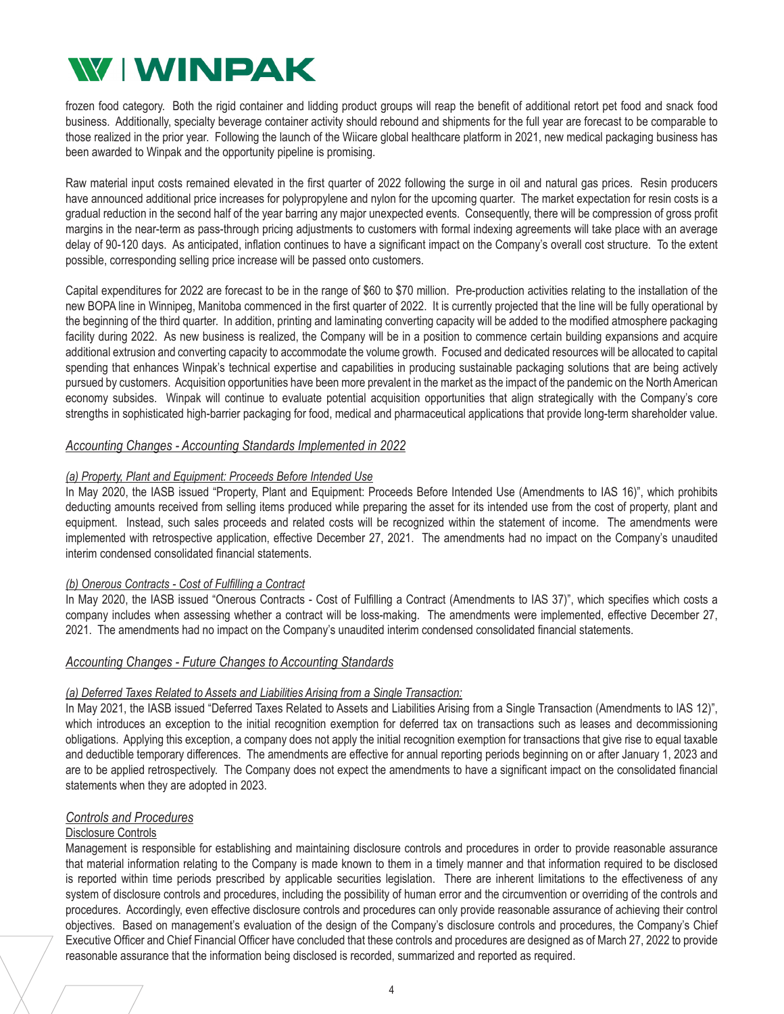

frozen food category. Both the rigid container and lidding product groups will reap the benefit of additional retort pet food and snack food business. Additionally, specialty beverage container activity should rebound and shipments for the full year are forecast to be comparable to those realized in the prior year. Following the launch of the Wiicare global healthcare platform in 2021, new medical packaging business has been awarded to Winpak and the opportunity pipeline is promising.

Raw material input costs remained elevated in the first quarter of 2022 following the surge in oil and natural gas prices. Resin producers have announced additional price increases for polypropylene and nylon for the upcoming quarter. The market expectation for resin costs is a gradual reduction in the second half of the year barring any major unexpected events. Consequently, there will be compression of gross profit margins in the near-term as pass-through pricing adjustments to customers with formal indexing agreements will take place with an average delay of 90-120 days. As anticipated, inflation continues to have a significant impact on the Company's overall cost structure. To the extent possible, corresponding selling price increase will be passed onto customers.

Capital expenditures for 2022 are forecast to be in the range of \$60 to \$70 million. Pre-production activities relating to the installation of the new BOPA line in Winnipeg, Manitoba commenced in the first quarter of 2022. It is currently projected that the line will be fully operational by the beginning of the third quarter. In addition, printing and laminating converting capacity will be added to the modified atmosphere packaging facility during 2022. As new business is realized, the Company will be in a position to commence certain building expansions and acquire additional extrusion and converting capacity to accommodate the volume growth. Focused and dedicated resources will be allocated to capital spending that enhances Winpak's technical expertise and capabilities in producing sustainable packaging solutions that are being actively pursued by customers. Acquisition opportunities have been more prevalent in the market as the impact of the pandemic on the North American economy subsides. Winpak will continue to evaluate potential acquisition opportunities that align strategically with the Company's core strengths in sophisticated high-barrier packaging for food, medical and pharmaceutical applications that provide long-term shareholder value.

# *Accounting Changes - Accounting Standards Implemented in 2022*

# *(a) Property, Plant and Equipment: Proceeds Before Intended Use*

In May 2020, the IASB issued "Property, Plant and Equipment: Proceeds Before Intended Use (Amendments to IAS 16)", which prohibits deducting amounts received from selling items produced while preparing the asset for its intended use from the cost of property, plant and equipment. Instead, such sales proceeds and related costs will be recognized within the statement of income. The amendments were implemented with retrospective application, effective December 27, 2021. The amendments had no impact on the Company's unaudited interim condensed consolidated financial statements.

# *(b) Onerous Contracts - Cost of Fulfilling a Contract*

In May 2020, the IASB issued "Onerous Contracts - Cost of Fulfilling a Contract (Amendments to IAS 37)", which specifies which costs a company includes when assessing whether a contract will be loss-making. The amendments were implemented, effective December 27, 2021. The amendments had no impact on the Company's unaudited interim condensed consolidated financial statements.

# *Accounting Changes - Future Changes to Accounting Standards*

# *(a) Deferred Taxes Related to Assets and Liabilities Arising from a Single Transaction:*

In May 2021, the IASB issued "Deferred Taxes Related to Assets and Liabilities Arising from a Single Transaction (Amendments to IAS 12)", which introduces an exception to the initial recognition exemption for deferred tax on transactions such as leases and decommissioning obligations. Applying this exception, a company does not apply the initial recognition exemption for transactions that give rise to equal taxable and deductible temporary differences. The amendments are effective for annual reporting periods beginning on or after January 1, 2023 and are to be applied retrospectively. The Company does not expect the amendments to have a significant impact on the consolidated financial statements when they are adopted in 2023.

# *Controls and Procedures*

# Disclosure Controls

Management is responsible for establishing and maintaining disclosure controls and procedures in order to provide reasonable assurance that material information relating to the Company is made known to them in a timely manner and that information required to be disclosed is reported within time periods prescribed by applicable securities legislation. There are inherent limitations to the effectiveness of any system of disclosure controls and procedures, including the possibility of human error and the circumvention or overriding of the controls and procedures. Accordingly, even effective disclosure controls and procedures can only provide reasonable assurance of achieving their control objectives. Based on management's evaluation of the design of the Company's disclosure controls and procedures, the Company's Chief Executive Officer and Chief Financial Officer have concluded that these controls and procedures are designed as of March 27, 2022 to provide reasonable assurance that the information being disclosed is recorded, summarized and reported as required.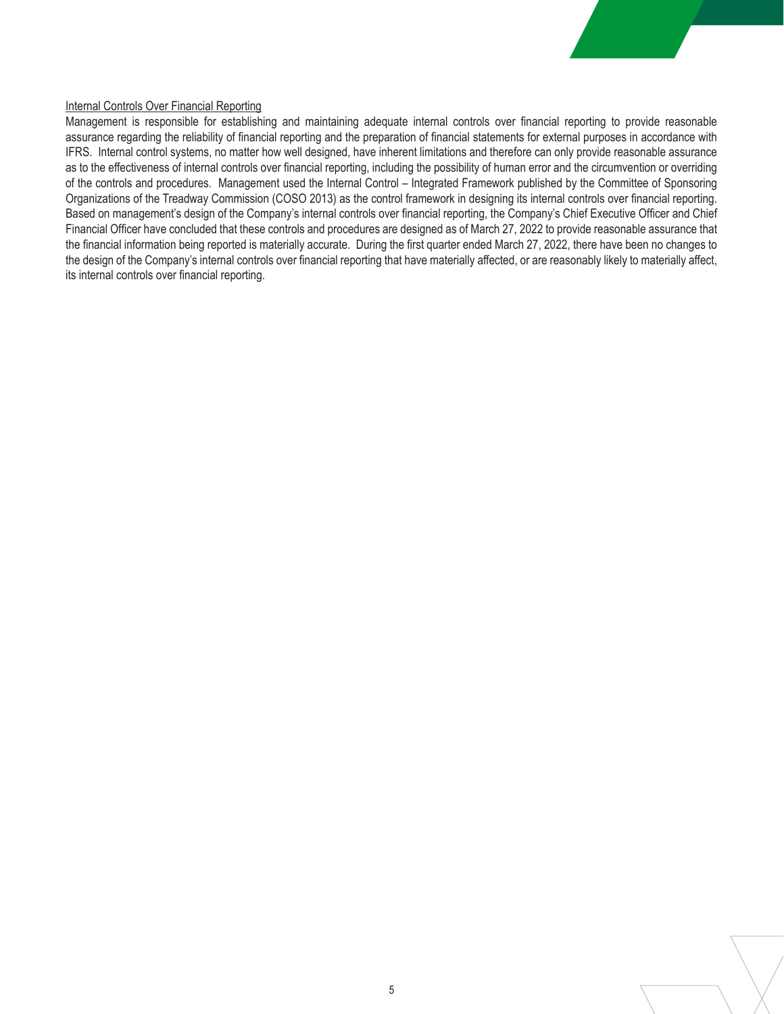# Internal Controls Over Financial Reporting

Management is responsible for establishing and maintaining adequate internal controls over financial reporting to provide reasonable assurance regarding the reliability of financial reporting and the preparation of financial statements for external purposes in accordance with IFRS. Internal control systems, no matter how well designed, have inherent limitations and therefore can only provide reasonable assurance as to the effectiveness of internal controls over financial reporting, including the possibility of human error and the circumvention or overriding of the controls and procedures. Management used the Internal Control – Integrated Framework published by the Committee of Sponsoring Organizations of the Treadway Commission (COSO 2013) as the control framework in designing its internal controls over financial reporting. Based on management's design of the Company's internal controls over financial reporting, the Company's Chief Executive Officer and Chief Financial Officer have concluded that these controls and procedures are designed as of March 27, 2022 to provide reasonable assurance that the financial information being reported is materially accurate. During the first quarter ended March 27, 2022, there have been no changes to the design of the Company's internal controls over financial reporting that have materially affected, or are reasonably likely to materially affect, its internal controls over financial reporting.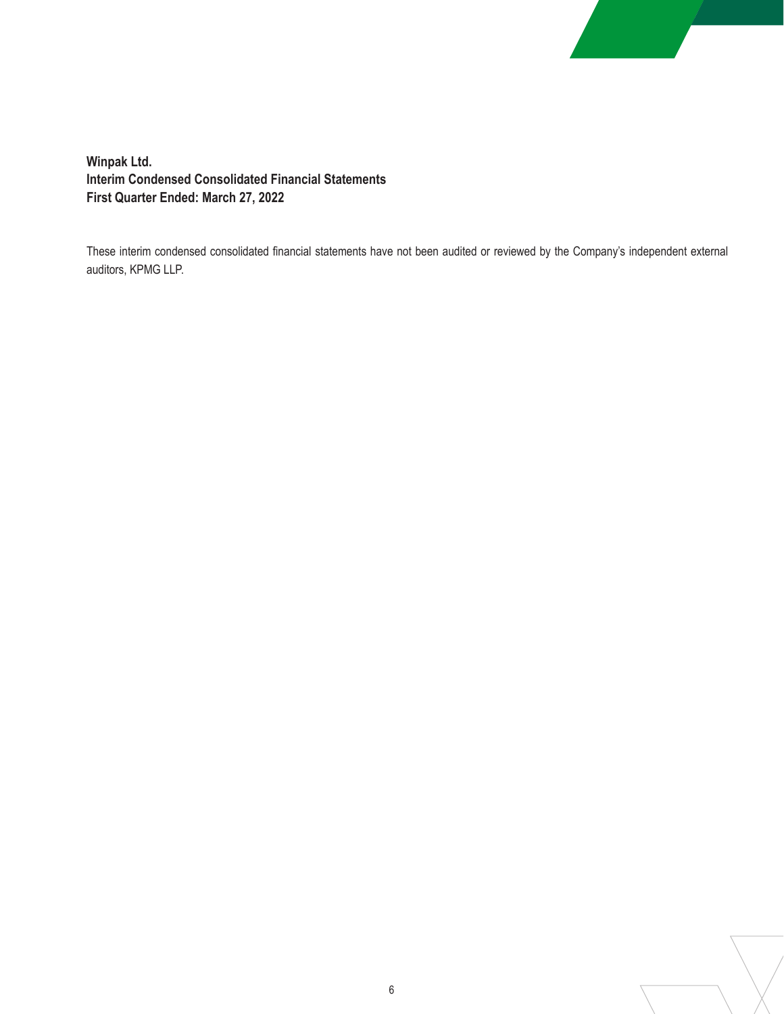

**Winpak Ltd. Interim Condensed Consolidated Financial Statements First Quarter Ended: March 27, 2022**

These interim condensed consolidated financial statements have not been audited or reviewed by the Company's independent external auditors, KPMG LLP.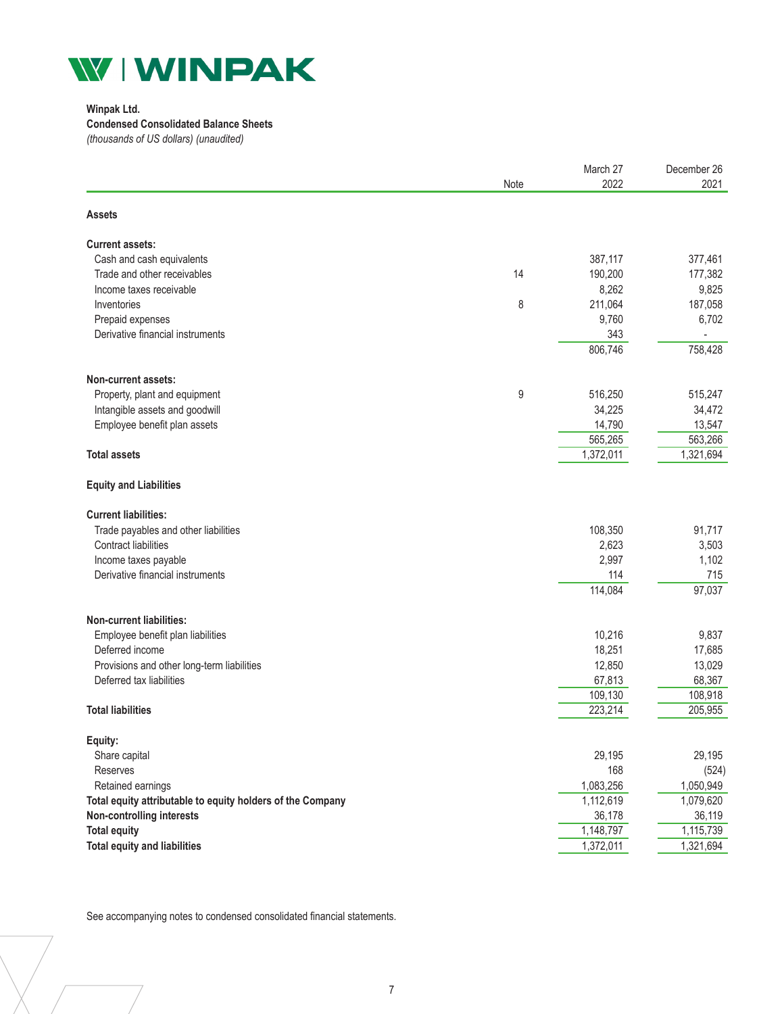

### **Winpak Ltd.**

**Condensed Consolidated Balance Sheets** *(thousands of US dollars) (unaudited)*

|                                                            |      | March 27  | December 26 |
|------------------------------------------------------------|------|-----------|-------------|
|                                                            | Note | 2022      | 2021        |
| <b>Assets</b>                                              |      |           |             |
| <b>Current assets:</b>                                     |      |           |             |
| Cash and cash equivalents                                  |      | 387,117   | 377,461     |
| Trade and other receivables                                | 14   | 190,200   | 177,382     |
| Income taxes receivable                                    |      | 8,262     | 9,825       |
| Inventories                                                | 8    | 211,064   | 187,058     |
| Prepaid expenses                                           |      | 9,760     | 6,702       |
| Derivative financial instruments                           |      | 343       |             |
|                                                            |      | 806,746   | 758,428     |
| <b>Non-current assets:</b>                                 |      |           |             |
| Property, plant and equipment                              | 9    | 516,250   | 515,247     |
| Intangible assets and goodwill                             |      | 34,225    | 34,472      |
| Employee benefit plan assets                               |      | 14,790    | 13,547      |
|                                                            |      | 565,265   | 563,266     |
| <b>Total assets</b>                                        |      | 1,372,011 | 1,321,694   |
| <b>Equity and Liabilities</b>                              |      |           |             |
| <b>Current liabilities:</b>                                |      |           |             |
| Trade payables and other liabilities                       |      | 108,350   | 91,717      |
| <b>Contract liabilities</b>                                |      | 2,623     | 3,503       |
| Income taxes payable                                       |      | 2,997     | 1,102       |
| Derivative financial instruments                           |      | 114       | 715         |
|                                                            |      | 114,084   | 97,037      |
| <b>Non-current liabilities:</b>                            |      |           |             |
| Employee benefit plan liabilities                          |      | 10,216    | 9,837       |
| Deferred income                                            |      | 18,251    | 17,685      |
| Provisions and other long-term liabilities                 |      | 12,850    | 13,029      |
| Deferred tax liabilities                                   |      | 67,813    | 68,367      |
|                                                            |      | 109,130   | 108,918     |
| <b>Total liabilities</b>                                   |      | 223,214   | 205,955     |
| Equity:                                                    |      |           |             |
| Share capital                                              |      | 29,195    | 29,195      |
| Reserves                                                   |      | 168       | (524)       |
| Retained earnings                                          |      | 1,083,256 | 1,050,949   |
| Total equity attributable to equity holders of the Company |      | 1,112,619 | 1,079,620   |
| <b>Non-controlling interests</b>                           |      | 36,178    | 36,119      |
| <b>Total equity</b>                                        |      | 1,148,797 | 1,115,739   |
| <b>Total equity and liabilities</b>                        |      | 1,372,011 | 1,321,694   |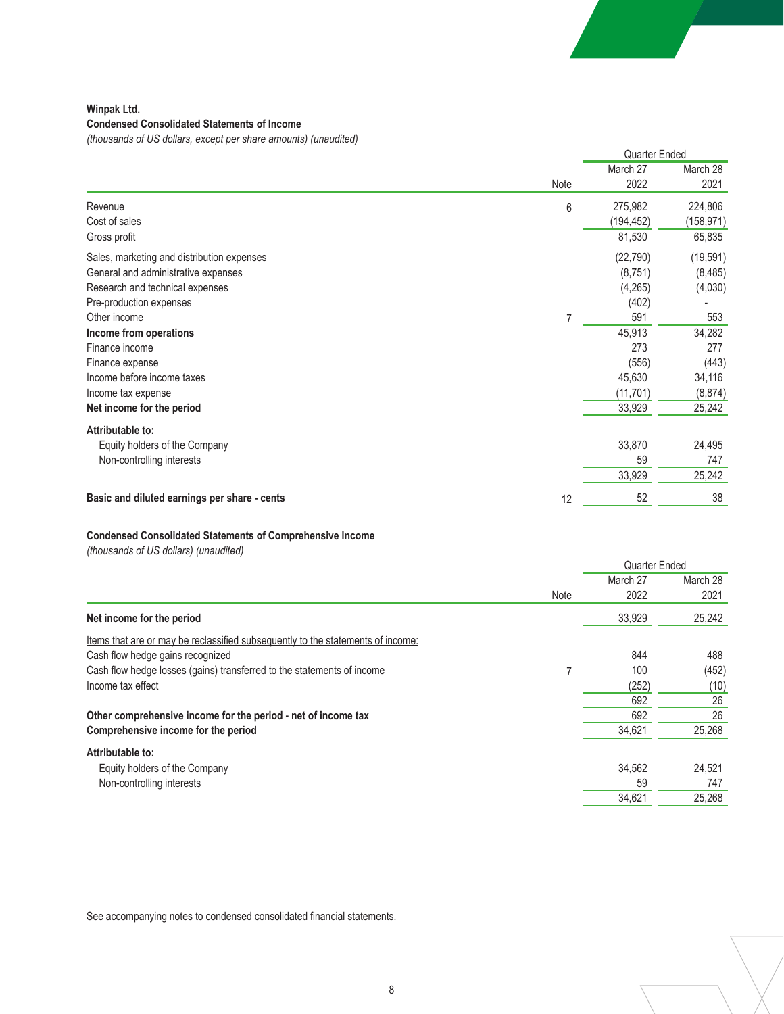# **Winpak Ltd.**

# **Condensed Consolidated Statements of Income**

*(thousands of US dollars, except per share amounts) (unaudited)*

|                                              |      | Quarter Ended |            |  |
|----------------------------------------------|------|---------------|------------|--|
|                                              |      | March 27      | March 28   |  |
|                                              | Note | 2022          | 2021       |  |
| Revenue                                      | 6    | 275,982       | 224,806    |  |
| Cost of sales                                |      | (194, 452)    | (158, 971) |  |
| Gross profit                                 |      | 81,530        | 65,835     |  |
| Sales, marketing and distribution expenses   |      | (22, 790)     | (19, 591)  |  |
| General and administrative expenses          |      | (8,751)       | (8, 485)   |  |
| Research and technical expenses              |      | (4,265)       | (4,030)    |  |
| Pre-production expenses                      |      | (402)         |            |  |
| Other income                                 | 7    | 591           | 553        |  |
| Income from operations                       |      | 45,913        | 34,282     |  |
| Finance income                               |      | 273           | 277        |  |
| Finance expense                              |      | (556)         | (443)      |  |
| Income before income taxes                   |      | 45,630        | 34,116     |  |
| Income tax expense                           |      | (11, 701)     | (8, 874)   |  |
| Net income for the period                    |      | 33,929        | 25,242     |  |
| Attributable to:                             |      |               |            |  |
| Equity holders of the Company                |      | 33,870        | 24,495     |  |
| Non-controlling interests                    |      | 59            | 747        |  |
|                                              |      | 33,929        | 25,242     |  |
| Basic and diluted earnings per share - cents | 12   | 52            | 38         |  |
|                                              |      |               |            |  |

# **Condensed Consolidated Statements of Comprehensive Income**

*(thousands of US dollars) (unaudited)*

|                                                                                 |      | Quarter Ended    |                  |  |
|---------------------------------------------------------------------------------|------|------------------|------------------|--|
|                                                                                 | Note | March 27<br>2022 | March 28<br>2021 |  |
| Net income for the period                                                       |      | 33,929           | 25,242           |  |
| Items that are or may be reclassified subsequently to the statements of income: |      |                  |                  |  |
| Cash flow hedge gains recognized                                                |      | 844              | 488              |  |
| Cash flow hedge losses (gains) transferred to the statements of income          |      | 100              | (452)            |  |
| Income tax effect                                                               |      | (252)            | (10)             |  |
|                                                                                 |      | 692              | 26               |  |
| Other comprehensive income for the period - net of income tax                   |      | 692              | 26               |  |
| Comprehensive income for the period                                             |      | 34,621           | 25,268           |  |
| Attributable to:                                                                |      |                  |                  |  |
| Equity holders of the Company                                                   |      | 34,562           | 24,521           |  |
| Non-controlling interests                                                       |      | 59               | 747              |  |
|                                                                                 |      | 34,621           | 25,268           |  |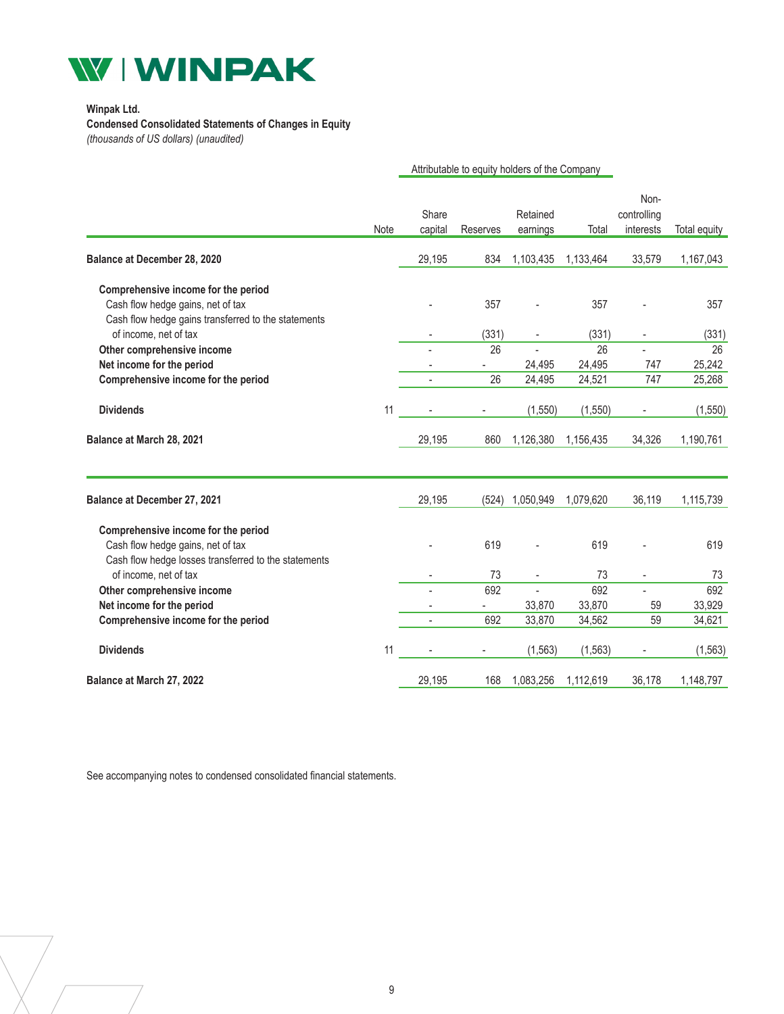

### **Winpak Ltd.**

**Condensed Consolidated Statements of Changes in Equity**

*(thousands of US dollars) (unaudited)*

|                                                                                                                                  |      | Attributable to equity holders of the Company |          |                      |           |                                  |              |
|----------------------------------------------------------------------------------------------------------------------------------|------|-----------------------------------------------|----------|----------------------|-----------|----------------------------------|--------------|
|                                                                                                                                  | Note | Share<br>capital                              | Reserves | Retained<br>earnings | Total     | Non-<br>controlling<br>interests | Total equity |
| Balance at December 28, 2020                                                                                                     |      | 29,195                                        | 834      | 1,103,435            | 1,133,464 | 33,579                           | 1,167,043    |
| Comprehensive income for the period<br>Cash flow hedge gains, net of tax<br>Cash flow hedge gains transferred to the statements  |      |                                               | 357      |                      | 357       |                                  | 357          |
| of income, net of tax                                                                                                            |      | $\overline{\phantom{a}}$                      | (331)    | $\blacksquare$       | (331)     | $\overline{\phantom{a}}$         | (331)        |
| Other comprehensive income                                                                                                       |      | ÷                                             | 26       | $\overline{a}$       | 26        | $\blacksquare$                   | 26           |
| Net income for the period                                                                                                        |      |                                               |          | 24,495               | 24,495    | 747                              | 25,242       |
| Comprehensive income for the period                                                                                              |      |                                               | 26       | 24,495               | 24,521    | 747                              | 25,268       |
| <b>Dividends</b>                                                                                                                 | 11   |                                               |          | (1, 550)             | (1, 550)  |                                  | (1,550)      |
| Balance at March 28, 2021                                                                                                        |      | 29,195                                        | 860      | 1,126,380            | 1,156,435 | 34,326                           | 1,190,761    |
| Balance at December 27, 2021                                                                                                     |      | 29,195                                        | (524)    | 1,050,949            | 1,079,620 | 36,119                           | 1,115,739    |
| Comprehensive income for the period<br>Cash flow hedge gains, net of tax<br>Cash flow hedge losses transferred to the statements |      |                                               | 619      |                      | 619       |                                  | 619          |
| of income, net of tax                                                                                                            |      |                                               | 73       | $\overline{a}$       | 73        | $\overline{\phantom{a}}$         | 73           |
| Other comprehensive income                                                                                                       |      |                                               | 692      | $\overline{a}$       | 692       | $\blacksquare$                   | 692          |
| Net income for the period                                                                                                        |      |                                               |          | 33,870               | 33,870    | 59                               | 33.929       |
| Comprehensive income for the period                                                                                              |      |                                               | 692      | 33,870               | 34,562    | 59                               | 34,621       |
| <b>Dividends</b>                                                                                                                 | 11   |                                               |          | (1, 563)             | (1, 563)  |                                  | (1, 563)     |
| Balance at March 27, 2022                                                                                                        |      | 29,195                                        | 168      | 1,083,256            | 1,112,619 | 36,178                           | 1,148,797    |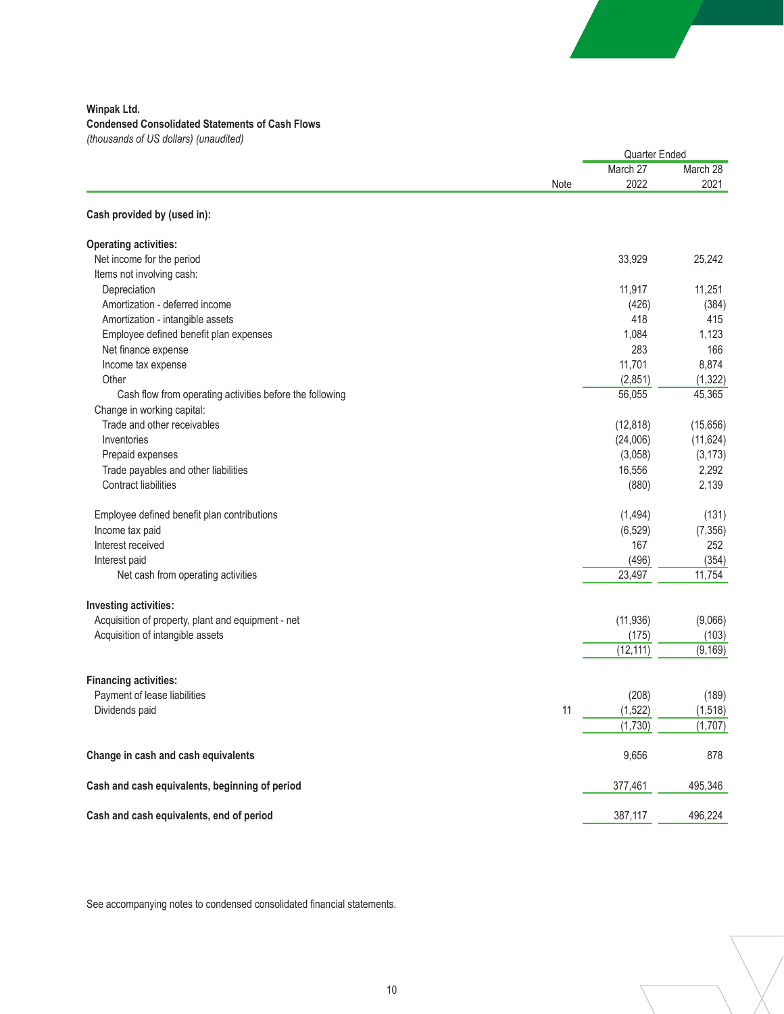# **Winpak Ltd. Condensed Consolidated Statements of Cash Flows** *(thousands of US dollars) (unaudited)*

|                                                          |      | Quarter Ended |           |
|----------------------------------------------------------|------|---------------|-----------|
|                                                          |      | March 27      | March 28  |
|                                                          | Note | 2022          | 2021      |
| Cash provided by (used in):                              |      |               |           |
| <b>Operating activities:</b>                             |      |               |           |
| Net income for the period                                |      | 33,929        | 25,242    |
| Items not involving cash:                                |      |               |           |
| Depreciation                                             |      | 11,917        | 11,251    |
| Amortization - deferred income                           |      | (426)         | (384)     |
| Amortization - intangible assets                         |      | 418           | 415       |
| Employee defined benefit plan expenses                   |      | 1,084         | 1,123     |
| Net finance expense                                      |      | 283           | 166       |
| Income tax expense                                       |      | 11,701        | 8,874     |
| Other                                                    |      | (2,851)       | (1, 322)  |
| Cash flow from operating activities before the following |      | 56,055        | 45,365    |
| Change in working capital:                               |      |               |           |
| Trade and other receivables                              |      | (12, 818)     | (15, 656) |
| Inventories                                              |      | (24,006)      | (11, 624) |
| Prepaid expenses                                         |      | (3,058)       | (3, 173)  |
| Trade payables and other liabilities                     |      | 16,556        | 2,292     |
| <b>Contract liabilities</b>                              |      | (880)         | 2,139     |
| Employee defined benefit plan contributions              |      | (1, 494)      | (131)     |
| Income tax paid                                          |      | (6, 529)      | (7, 356)  |
| Interest received                                        |      | 167           | 252       |
| Interest paid                                            |      | (496)         | (354)     |
| Net cash from operating activities                       |      | 23,497        | 11,754    |
|                                                          |      |               |           |
| Investing activities:                                    |      |               |           |
| Acquisition of property, plant and equipment - net       |      | (11, 936)     | (9,066)   |
| Acquisition of intangible assets                         |      | (175)         | (103)     |
|                                                          |      | (12, 111)     | (9, 169)  |
| <b>Financing activities:</b>                             |      |               |           |
| Payment of lease liabilities                             |      | (208)         | (189)     |
| Dividends paid                                           | 11   | (1,522)       | (1, 518)  |
|                                                          |      | (1,730)       | (1,707)   |
| Change in cash and cash equivalents                      |      | 9,656         | 878       |
| Cash and cash equivalents, beginning of period           |      | 377,461       | 495,346   |
| Cash and cash equivalents, end of period                 |      | 387,117       | 496,224   |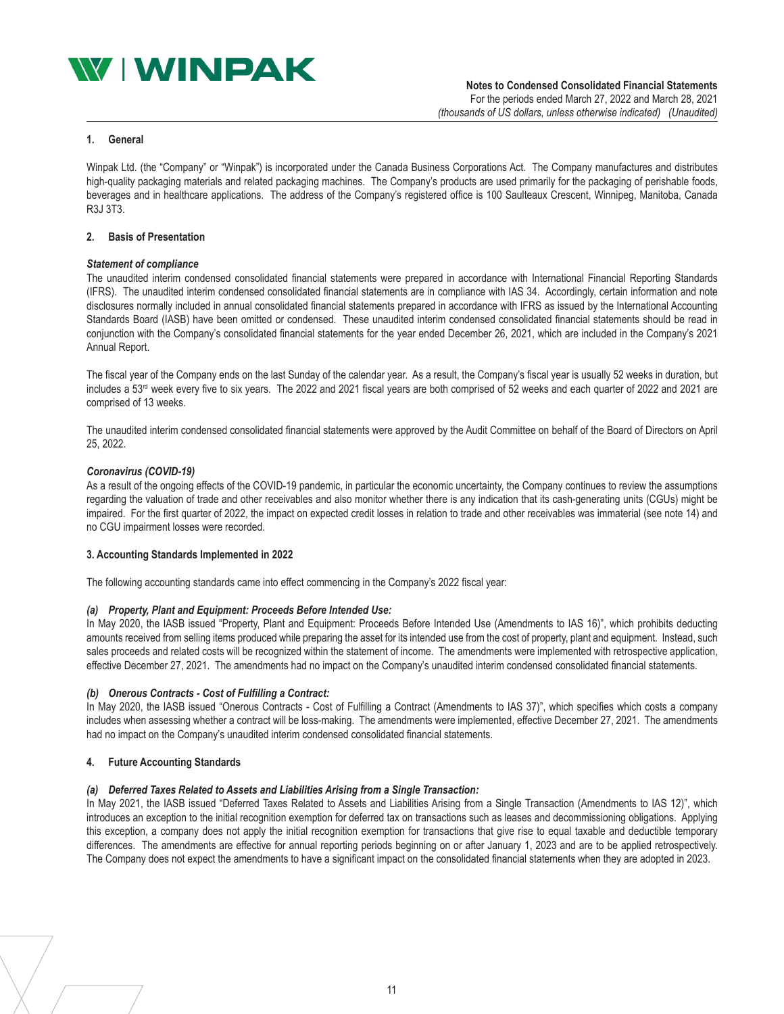

### **1. General**

Winpak Ltd. (the "Company" or "Winpak") is incorporated under the Canada Business Corporations Act. The Company manufactures and distributes high-quality packaging materials and related packaging machines. The Company's products are used primarily for the packaging of perishable foods, beverages and in healthcare applications. The address of the Company's registered office is 100 Saulteaux Crescent, Winnipeg, Manitoba, Canada R3J 3T3.

#### **2. Basis of Presentation**

#### *Statement of compliance*

The unaudited interim condensed consolidated financial statements were prepared in accordance with International Financial Reporting Standards (IFRS). The unaudited interim condensed consolidated financial statements are in compliance with IAS 34. Accordingly, certain information and note disclosures normally included in annual consolidated financial statements prepared in accordance with IFRS as issued by the International Accounting Standards Board (IASB) have been omitted or condensed. These unaudited interim condensed consolidated financial statements should be read in conjunction with the Company's consolidated financial statements for the year ended December 26, 2021, which are included in the Company's 2021 Annual Report.

The fiscal year of the Company ends on the last Sunday of the calendar year. As a result, the Company's fiscal year is usually 52 weeks in duration, but includes a 53<sup>rd</sup> week every five to six years. The 2022 and 2021 fiscal years are both comprised of 52 weeks and each quarter of 2022 and 2021 are comprised of 13 weeks.

The unaudited interim condensed consolidated financial statements were approved by the Audit Committee on behalf of the Board of Directors on April 25, 2022.

#### *Coronavirus (COVID-19)*

As a result of the ongoing effects of the COVID-19 pandemic, in particular the economic uncertainty, the Company continues to review the assumptions regarding the valuation of trade and other receivables and also monitor whether there is any indication that its cash-generating units (CGUs) might be impaired. For the first quarter of 2022, the impact on expected credit losses in relation to trade and other receivables was immaterial (see note 14) and no CGU impairment losses were recorded.

#### **3. Accounting Standards Implemented in 2022**

The following accounting standards came into effect commencing in the Company's 2022 fiscal year:

### *(a) Property, Plant and Equipment: Proceeds Before Intended Use:*

In May 2020, the IASB issued "Property, Plant and Equipment: Proceeds Before Intended Use (Amendments to IAS 16)", which prohibits deducting amounts received from selling items produced while preparing the asset for its intended use from the cost of property, plant and equipment. Instead, such sales proceeds and related costs will be recognized within the statement of income. The amendments were implemented with retrospective application, effective December 27, 2021. The amendments had no impact on the Company's unaudited interim condensed consolidated financial statements.

### *(b) Onerous Contracts - Cost of Fulfilling a Contract:*

In May 2020, the IASB issued "Onerous Contracts - Cost of Fulfilling a Contract (Amendments to IAS 37)", which specifies which costs a company includes when assessing whether a contract will be loss-making. The amendments were implemented, effective December 27, 2021. The amendments had no impact on the Company's unaudited interim condensed consolidated financial statements.

#### **4. Future Accounting Standards**

### *(a) Deferred Taxes Related to Assets and Liabilities Arising from a Single Transaction:*

In May 2021, the IASB issued "Deferred Taxes Related to Assets and Liabilities Arising from a Single Transaction (Amendments to IAS 12)", which introduces an exception to the initial recognition exemption for deferred tax on transactions such as leases and decommissioning obligations. Applying this exception, a company does not apply the initial recognition exemption for transactions that give rise to equal taxable and deductible temporary differences. The amendments are effective for annual reporting periods beginning on or after January 1, 2023 and are to be applied retrospectively. The Company does not expect the amendments to have a significant impact on the consolidated financial statements when they are adopted in 2023.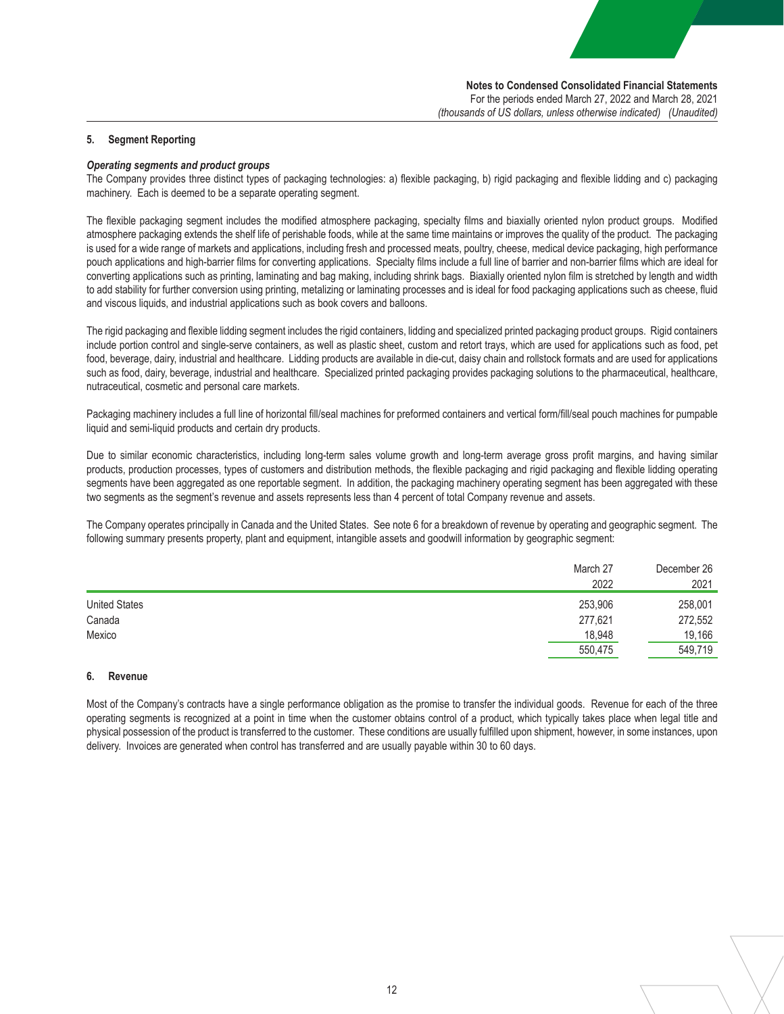### **5. Segment Reporting**

#### *Operating segments and product groups*

The Company provides three distinct types of packaging technologies: a) flexible packaging, b) rigid packaging and flexible lidding and c) packaging machinery. Each is deemed to be a separate operating segment.

The flexible packaging segment includes the modified atmosphere packaging, specialty films and biaxially oriented nylon product groups. Modified atmosphere packaging extends the shelf life of perishable foods, while at the same time maintains or improves the quality of the product. The packaging is used for a wide range of markets and applications, including fresh and processed meats, poultry, cheese, medical device packaging, high performance pouch applications and high-barrier films for converting applications. Specialty films include a full line of barrier and non-barrier films which are ideal for converting applications such as printing, laminating and bag making, including shrink bags. Biaxially oriented nylon film is stretched by length and width to add stability for further conversion using printing, metalizing or laminating processes and is ideal for food packaging applications such as cheese, fluid and viscous liquids, and industrial applications such as book covers and balloons.

The rigid packaging and flexible lidding segment includes the rigid containers, lidding and specialized printed packaging product groups. Rigid containers include portion control and single-serve containers, as well as plastic sheet, custom and retort trays, which are used for applications such as food, pet food, beverage, dairy, industrial and healthcare. Lidding products are available in die-cut, daisy chain and rollstock formats and are used for applications such as food, dairy, beverage, industrial and healthcare. Specialized printed packaging provides packaging solutions to the pharmaceutical, healthcare, nutraceutical, cosmetic and personal care markets.

Packaging machinery includes a full line of horizontal fill/seal machines for preformed containers and vertical form/fill/seal pouch machines for pumpable liquid and semi-liquid products and certain dry products.

Due to similar economic characteristics, including long-term sales volume growth and long-term average gross profit margins, and having similar products, production processes, types of customers and distribution methods, the flexible packaging and rigid packaging and flexible lidding operating segments have been aggregated as one reportable segment. In addition, the packaging machinery operating segment has been aggregated with these two segments as the segment's revenue and assets represents less than 4 percent of total Company revenue and assets.

The Company operates principally in Canada and the United States. See note 6 for a breakdown of revenue by operating and geographic segment. The following summary presents property, plant and equipment, intangible assets and goodwill information by geographic segment:

|                      | March 27<br>2022 | December 26<br>2021 |
|----------------------|------------------|---------------------|
| <b>United States</b> | 253,906          | 258,001             |
| Canada               | 277,621          | 272,552             |
| Mexico               | 18.948           | 19,166              |
|                      | 550,475          | 549,719             |

### **6. Revenue**

Most of the Company's contracts have a single performance obligation as the promise to transfer the individual goods. Revenue for each of the three operating segments is recognized at a point in time when the customer obtains control of a product, which typically takes place when legal title and physical possession of the product is transferred to the customer. These conditions are usually fulfilled upon shipment, however, in some instances, upon delivery. Invoices are generated when control has transferred and are usually payable within 30 to 60 days.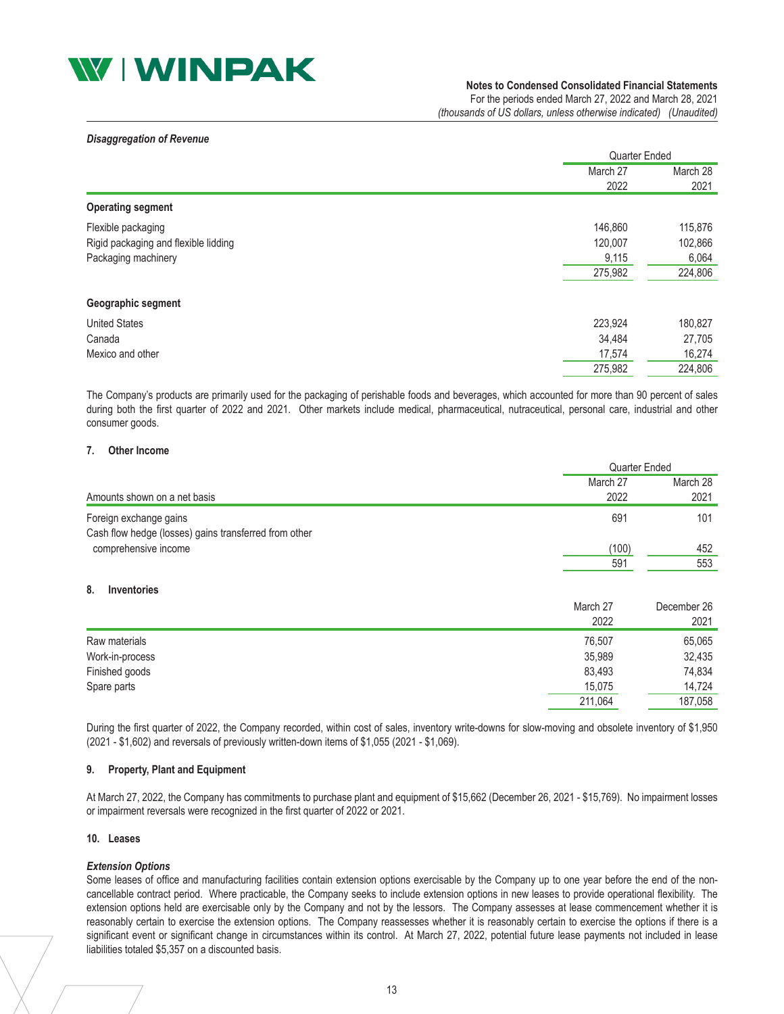

#### *Disaggregation of Revenue*

|                                      |          | Quarter Ended |  |  |
|--------------------------------------|----------|---------------|--|--|
|                                      | March 27 | March 28      |  |  |
|                                      | 2022     | 2021          |  |  |
| <b>Operating segment</b>             |          |               |  |  |
| Flexible packaging                   | 146,860  | 115,876       |  |  |
| Rigid packaging and flexible lidding | 120,007  | 102,866       |  |  |
| Packaging machinery                  | 9,115    | 6,064         |  |  |
|                                      | 275,982  | 224,806       |  |  |
| Geographic segment                   |          |               |  |  |
| <b>United States</b>                 | 223,924  | 180,827       |  |  |
| Canada                               | 34,484   | 27,705        |  |  |
| Mexico and other                     | 17,574   | 16,274        |  |  |
|                                      | 275,982  | 224,806       |  |  |

The Company's products are primarily used for the packaging of perishable foods and beverages, which accounted for more than 90 percent of sales during both the first quarter of 2022 and 2021. Other markets include medical, pharmaceutical, nutraceutical, personal care, industrial and other consumer goods.

#### **7. Other Income**

|                                                       |          | Quarter Ended |
|-------------------------------------------------------|----------|---------------|
|                                                       | March 27 | March 28      |
| Amounts shown on a net basis                          | 2022     | 2021          |
| Foreign exchange gains                                | 691      | 101           |
| Cash flow hedge (losses) gains transferred from other |          |               |
| comprehensive income                                  | (100)    | 452           |
|                                                       | 591      | 553           |

#### **8. Inventories**

|                 | March 27 | December 26 |
|-----------------|----------|-------------|
|                 | 2022     | 2021        |
| Raw materials   | 76,507   | 65,065      |
| Work-in-process | 35,989   | 32,435      |
| Finished goods  | 83,493   | 74,834      |
| Spare parts     | 15.075   | 14.724      |
|                 | 211,064  | 187,058     |

During the first quarter of 2022, the Company recorded, within cost of sales, inventory write-downs for slow-moving and obsolete inventory of \$1,950 (2021 - \$1,602) and reversals of previously written-down items of \$1,055 (2021 - \$1,069).

#### **9. Property, Plant and Equipment**

At March 27, 2022, the Company has commitments to purchase plant and equipment of \$15,662 (December 26, 2021 - \$15,769). No impairment losses or impairment reversals were recognized in the first quarter of 2022 or 2021.

### **10. Leases**

### *Extension Options*

Some leases of office and manufacturing facilities contain extension options exercisable by the Company up to one year before the end of the noncancellable contract period. Where practicable, the Company seeks to include extension options in new leases to provide operational flexibility. The extension options held are exercisable only by the Company and not by the lessors. The Company assesses at lease commencement whether it is reasonably certain to exercise the extension options. The Company reassesses whether it is reasonably certain to exercise the options if there is a significant event or significant change in circumstances within its control. At March 27, 2022, potential future lease payments not included in lease liabilities totaled \$5,357 on a discounted basis.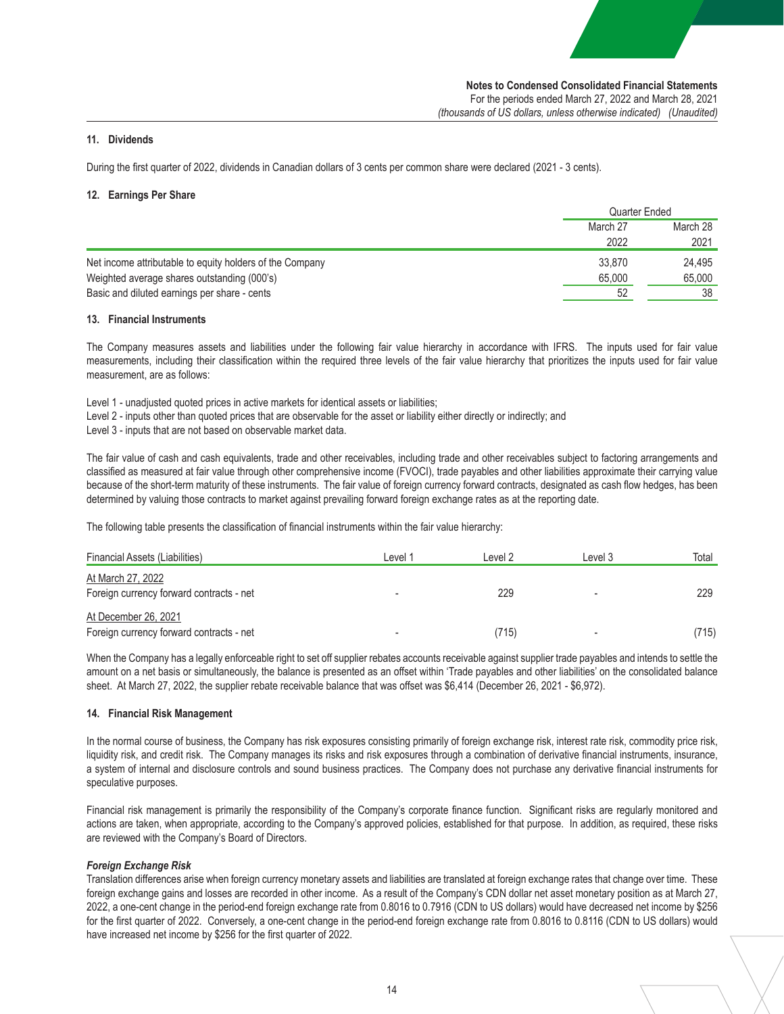### **11. Dividends**

During the first quarter of 2022, dividends in Canadian dollars of 3 cents per common share were declared (2021 - 3 cents).

#### **12. Earnings Per Share**

|                                                          | Quarter Ended |          |
|----------------------------------------------------------|---------------|----------|
|                                                          | March 27      | March 28 |
|                                                          | 2022          | 2021     |
| Net income attributable to equity holders of the Company | 33.870        | 24.495   |
| Weighted average shares outstanding (000's)              | 65.000        | 65.000   |
| Basic and diluted earnings per share - cents             | -52           | 38       |

### **13. Financial Instruments**

The Company measures assets and liabilities under the following fair value hierarchy in accordance with IFRS. The inputs used for fair value measurements, including their classification within the required three levels of the fair value hierarchy that prioritizes the inputs used for fair value measurement, are as follows:

Level 1 - unadjusted quoted prices in active markets for identical assets or liabilities;

Level 2 - inputs other than quoted prices that are observable for the asset or liability either directly or indirectly; and

Level 3 - inputs that are not based on observable market data.

The fair value of cash and cash equivalents, trade and other receivables, including trade and other receivables subject to factoring arrangements and classified as measured at fair value through other comprehensive income (FVOCI), trade payables and other liabilities approximate their carrying value because of the short-term maturity of these instruments. The fair value of foreign currency forward contracts, designated as cash flow hedges, has been determined by valuing those contracts to market against prevailing forward foreign exchange rates as at the reporting date.

The following table presents the classification of financial instruments within the fair value hierarchy:

| Financial Assets (Liabilities)                                   | Level : | Level 2 | Level 3                  | Total |
|------------------------------------------------------------------|---------|---------|--------------------------|-------|
| At March 27, 2022<br>Foreign currency forward contracts - net    | -       | 229     | $\overline{\phantom{a}}$ | 229   |
| At December 26, 2021<br>Foreign currency forward contracts - net | -       | 715)    | $\overline{\phantom{a}}$ | (715) |

When the Company has a legally enforceable right to set off supplier rebates accounts receivable against supplier trade payables and intends to settle the amount on a net basis or simultaneously, the balance is presented as an offset within 'Trade payables and other liabilities' on the consolidated balance sheet. At March 27, 2022, the supplier rebate receivable balance that was offset was \$6,414 (December 26, 2021 - \$6,972).

#### **14. Financial Risk Management**

In the normal course of business, the Company has risk exposures consisting primarily of foreign exchange risk, interest rate risk, commodity price risk, liquidity risk, and credit risk. The Company manages its risks and risk exposures through a combination of derivative financial instruments, insurance, a system of internal and disclosure controls and sound business practices. The Company does not purchase any derivative financial instruments for speculative purposes.

Financial risk management is primarily the responsibility of the Company's corporate finance function. Significant risks are regularly monitored and actions are taken, when appropriate, according to the Company's approved policies, established for that purpose. In addition, as required, these risks are reviewed with the Company's Board of Directors.

### *Foreign Exchange Risk*

Translation differences arise when foreign currency monetary assets and liabilities are translated at foreign exchange rates that change over time. These foreign exchange gains and losses are recorded in other income. As a result of the Company's CDN dollar net asset monetary position as at March 27, 2022, a one-cent change in the period-end foreign exchange rate from 0.8016 to 0.7916 (CDN to US dollars) would have decreased net income by \$256 for the first quarter of 2022. Conversely, a one-cent change in the period-end foreign exchange rate from 0.8016 to 0.8116 (CDN to US dollars) would have increased net income by \$256 for the first quarter of 2022.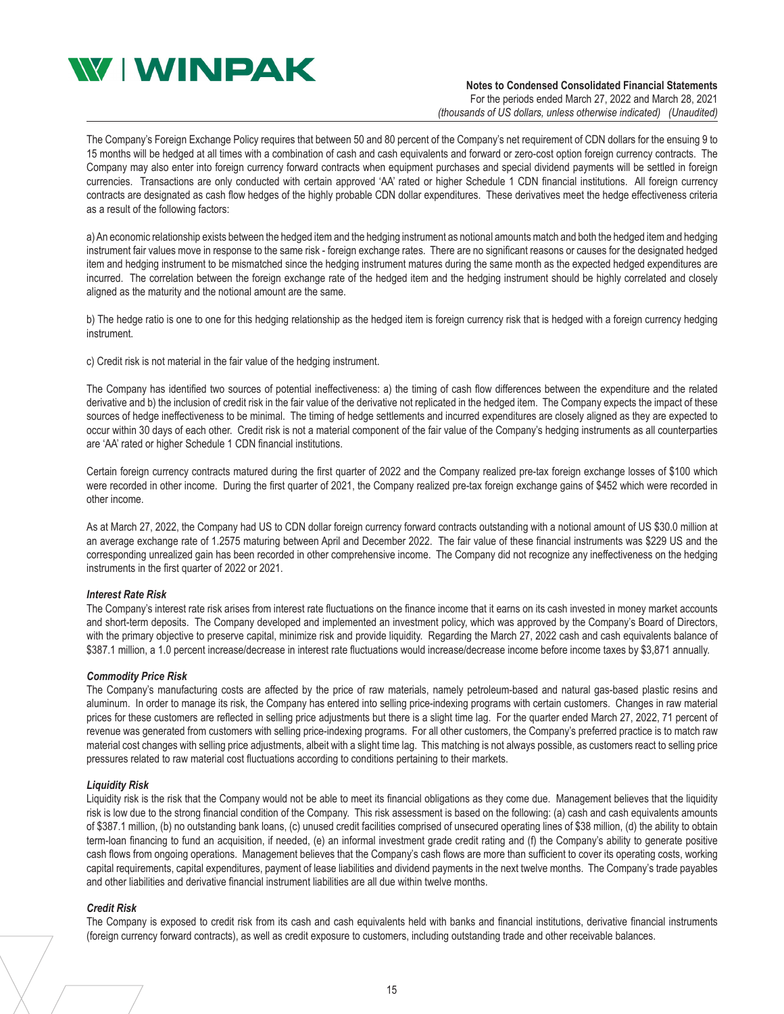

**Notes to Condensed Consolidated Financial Statements** For the periods ended March 27, 2022 and March 28, 2021 *(thousands of US dollars, unless otherwise indicated) (Unaudited)*

The Company's Foreign Exchange Policy requires that between 50 and 80 percent of the Company's net requirement of CDN dollars for the ensuing 9 to 15 months will be hedged at all times with a combination of cash and cash equivalents and forward or zero-cost option foreign currency contracts. The Company may also enter into foreign currency forward contracts when equipment purchases and special dividend payments will be settled in foreign currencies. Transactions are only conducted with certain approved 'AA' rated or higher Schedule 1 CDN financial institutions. All foreign currency contracts are designated as cash flow hedges of the highly probable CDN dollar expenditures. These derivatives meet the hedge effectiveness criteria as a result of the following factors:

a) An economic relationship exists between the hedged item and the hedging instrument as notional amounts match and both the hedged item and hedging instrument fair values move in response to the same risk - foreign exchange rates. There are no significant reasons or causes for the designated hedged item and hedging instrument to be mismatched since the hedging instrument matures during the same month as the expected hedged expenditures are incurred. The correlation between the foreign exchange rate of the hedged item and the hedging instrument should be highly correlated and closely aligned as the maturity and the notional amount are the same.

b) The hedge ratio is one to one for this hedging relationship as the hedged item is foreign currency risk that is hedged with a foreign currency hedging instrument.

c) Credit risk is not material in the fair value of the hedging instrument.

The Company has identified two sources of potential ineffectiveness: a) the timing of cash flow differences between the expenditure and the related derivative and b) the inclusion of credit risk in the fair value of the derivative not replicated in the hedged item. The Company expects the impact of these sources of hedge ineffectiveness to be minimal. The timing of hedge settlements and incurred expenditures are closely aligned as they are expected to occur within 30 days of each other. Credit risk is not a material component of the fair value of the Company's hedging instruments as all counterparties are 'AA' rated or higher Schedule 1 CDN financial institutions.

Certain foreign currency contracts matured during the first quarter of 2022 and the Company realized pre-tax foreign exchange losses of \$100 which were recorded in other income. During the first quarter of 2021, the Company realized pre-tax foreign exchange gains of \$452 which were recorded in other income.

As at March 27, 2022, the Company had US to CDN dollar foreign currency forward contracts outstanding with a notional amount of US \$30.0 million at an average exchange rate of 1.2575 maturing between April and December 2022. The fair value of these financial instruments was \$229 US and the corresponding unrealized gain has been recorded in other comprehensive income. The Company did not recognize any ineffectiveness on the hedging instruments in the first quarter of 2022 or 2021.

#### *Interest Rate Risk*

The Company's interest rate risk arises from interest rate fluctuations on the finance income that it earns on its cash invested in money market accounts and short-term deposits. The Company developed and implemented an investment policy, which was approved by the Company's Board of Directors, with the primary objective to preserve capital, minimize risk and provide liquidity. Regarding the March 27, 2022 cash and cash equivalents balance of \$387.1 million, a 1.0 percent increase/decrease in interest rate fluctuations would increase/decrease income before income taxes by \$3,871 annually.

#### *Commodity Price Risk*

The Company's manufacturing costs are affected by the price of raw materials, namely petroleum-based and natural gas-based plastic resins and aluminum. In order to manage its risk, the Company has entered into selling price-indexing programs with certain customers. Changes in raw material prices for these customers are reflected in selling price adjustments but there is a slight time lag. For the quarter ended March 27, 2022, 71 percent of revenue was generated from customers with selling price-indexing programs. For all other customers, the Company's preferred practice is to match raw material cost changes with selling price adjustments, albeit with a slight time lag. This matching is not always possible, as customers react to selling price pressures related to raw material cost fluctuations according to conditions pertaining to their markets.

#### *Liquidity Risk*

Liquidity risk is the risk that the Company would not be able to meet its financial obligations as they come due. Management believes that the liquidity risk is low due to the strong financial condition of the Company. This risk assessment is based on the following: (a) cash and cash equivalents amounts of \$387.1 million, (b) no outstanding bank loans, (c) unused credit facilities comprised of unsecured operating lines of \$38 million, (d) the ability to obtain term-loan financing to fund an acquisition, if needed, (e) an informal investment grade credit rating and (f) the Company's ability to generate positive cash flows from ongoing operations. Management believes that the Company's cash flows are more than sufficient to cover its operating costs, working capital requirements, capital expenditures, payment of lease liabilities and dividend payments in the next twelve months. The Company's trade payables and other liabilities and derivative financial instrument liabilities are all due within twelve months.

#### *Credit Risk*

The Company is exposed to credit risk from its cash and cash equivalents held with banks and financial institutions, derivative financial instruments (foreign currency forward contracts), as well as credit exposure to customers, including outstanding trade and other receivable balances.